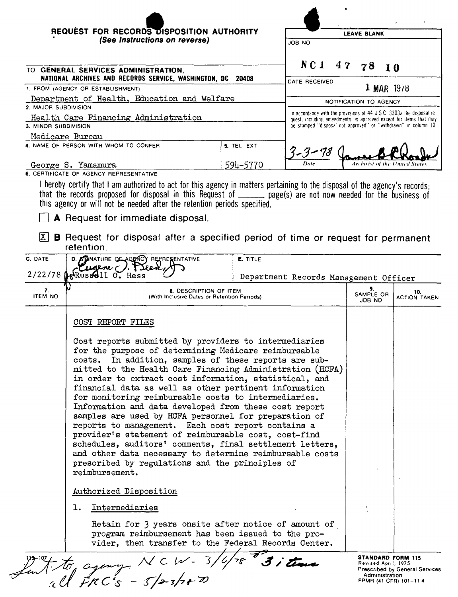|                                                                |                                                                                                                                               | $\epsilon$                                                                                                                                                                                                    |                                |  |  |
|----------------------------------------------------------------|-----------------------------------------------------------------------------------------------------------------------------------------------|---------------------------------------------------------------------------------------------------------------------------------------------------------------------------------------------------------------|--------------------------------|--|--|
|                                                                | REQUEST FOR RECORDS DISPOSITION AUTHORITY<br>(See Instructions on reverse)<br>ON BOL<br>NCI<br><b>GENERAL SERVICES ADMINISTRATION.</b><br>TO. | <b>LEAVE BLANK</b>                                                                                                                                                                                            |                                |  |  |
|                                                                |                                                                                                                                               |                                                                                                                                                                                                               |                                |  |  |
|                                                                |                                                                                                                                               |                                                                                                                                                                                                               | 47<br>78 10                    |  |  |
| NATIONAL ARCHIVES AND RECORDS SERVICE, WASHINGTON, DC<br>20408 |                                                                                                                                               | DATE RECEIVED                                                                                                                                                                                                 |                                |  |  |
| 1. FROM (AGENCY OR ESTABLISHMENT)                              |                                                                                                                                               |                                                                                                                                                                                                               | $1$ MAR $1978$                 |  |  |
| Department of Health, Education and Welfare                    |                                                                                                                                               | NOTIFICATION TO AGENCY                                                                                                                                                                                        |                                |  |  |
| 2. MAJOR SUBDIVISION                                           |                                                                                                                                               |                                                                                                                                                                                                               |                                |  |  |
| Health Care Financing Administration                           |                                                                                                                                               | In accordance with the provisions of 44 U.S.C. 3303a the disposal re-<br>quest, including amendments, is approved except for items that may<br>be stamped "disposal not approved" or "withdrawn" in column 10 |                                |  |  |
| 3. MINOR SUBDIVISION                                           |                                                                                                                                               |                                                                                                                                                                                                               |                                |  |  |
| Medicare Bureau                                                |                                                                                                                                               |                                                                                                                                                                                                               |                                |  |  |
| 4. NAME OF PERSON WITH WHOM TO CONFER                          | 5. TEL EXT                                                                                                                                    |                                                                                                                                                                                                               |                                |  |  |
| George S. Yamamura                                             | 594–5770                                                                                                                                      | Dute                                                                                                                                                                                                          | Archivist of the United States |  |  |

6. CERTIFICATE OF AGENCY REPRESENTATIVE

I hereby certify that I am authorized to act for this agency in matters pertaining to the disposal of the agency's records; that the records proposed for disposal in this Request of \_\_\_\_\_\_ page(s) are not now needed for the business of<br>this agency or will not be needed after the retention periods specified.

A Request for immediate disposal.

 $\boxed{\text{X}}$  **B** Request for disposal after a specified period of time or request for permanent retention

| C. DATE              | D. <b>SC</b> ANATURE OF AGENCY REPRESENTATIVE<br>Cugene (). Preed                                                                                                                                                                                                                                                                                                                                                                                                                                                                                                                                                                                                                                                                                                                                                                              | E. TITLE<br>Department Records Management Officer |                                                                                            |                                       |  |
|----------------------|------------------------------------------------------------------------------------------------------------------------------------------------------------------------------------------------------------------------------------------------------------------------------------------------------------------------------------------------------------------------------------------------------------------------------------------------------------------------------------------------------------------------------------------------------------------------------------------------------------------------------------------------------------------------------------------------------------------------------------------------------------------------------------------------------------------------------------------------|---------------------------------------------------|--------------------------------------------------------------------------------------------|---------------------------------------|--|
|                      | $2/22/78$ $\sqrt{k}$ Rus $\frac{1}{2}$ 11 0. Hess                                                                                                                                                                                                                                                                                                                                                                                                                                                                                                                                                                                                                                                                                                                                                                                              |                                                   |                                                                                            |                                       |  |
| 7.<br><b>ITEM NO</b> | 8. DESCRIPTION OF ITEM<br>(With Inclusive Dates or Retention Periods)                                                                                                                                                                                                                                                                                                                                                                                                                                                                                                                                                                                                                                                                                                                                                                          |                                                   | 9.<br>SAMPLE OR<br>OU BOL                                                                  | 10.<br><b>ACTION TAKEN</b>            |  |
|                      | COST REPORT FILES                                                                                                                                                                                                                                                                                                                                                                                                                                                                                                                                                                                                                                                                                                                                                                                                                              |                                                   |                                                                                            |                                       |  |
|                      | Cost reports submitted by providers to intermediaries<br>for the purpose of determining Medicare reimbursable<br>In addition, samples of these reports are sub-<br>costs.<br>mitted to the Health Care Financing Administration (HCFA)<br>in order to extract cost information, statistical, and<br>financial data as well as other pertinent information<br>for monitoring reimbursable costs to intermediaries.<br>Information and data developed from these cost report<br>samples are used by HCFA personnel for preparation of<br>reports to management. Each cost report contains a<br>provider's statement of reimbursable cost, cost-find<br>schedules, auditors' comments, final settlement letters,<br>and other data necessary to determine reimbursable costs<br>prescribed by regulations and the principles of<br>reimbursement. |                                                   |                                                                                            |                                       |  |
|                      | Authorized Disposition                                                                                                                                                                                                                                                                                                                                                                                                                                                                                                                                                                                                                                                                                                                                                                                                                         |                                                   |                                                                                            |                                       |  |
|                      | Intermediaries<br>l.                                                                                                                                                                                                                                                                                                                                                                                                                                                                                                                                                                                                                                                                                                                                                                                                                           |                                                   |                                                                                            |                                       |  |
|                      | Retain for 3 years onsite after notice of amount of<br>program reimbursement has been issued to the pro-<br>vider, then transfer to the Federal Records Center.                                                                                                                                                                                                                                                                                                                                                                                                                                                                                                                                                                                                                                                                                |                                                   |                                                                                            |                                       |  |
|                      | ant to agency NCW-3,                                                                                                                                                                                                                                                                                                                                                                                                                                                                                                                                                                                                                                                                                                                                                                                                                           |                                                   | <b>STANDARD FORM 115</b><br>Revised April, 1975<br>Administration<br>FPMR (41 CFR) 101-114 | <b>Prescribed by General Services</b> |  |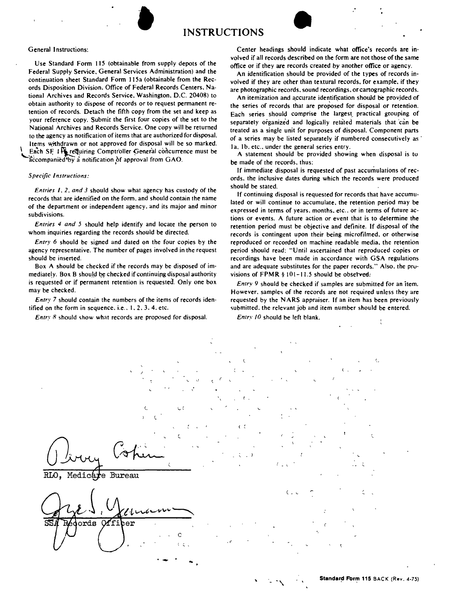



## General Instructions:

Use Standard Form 115 (obtainable from supply depots of the Federal Supply Service. General Services Administration) and the continuation sheet Standard Form 115a (obtainable from the Records Disposition Division. Office of Federal Records Centers. National Archives and Records Service. Washington. D.C. 20408) to obtain authority to dispose of records or to request permanent retention of records. Detach the fifth copy from the set and keep as your reference copy. Submit the first four copies of the set to the National Archives and Records Service. One copy will be returned to the agency as notification of items that are authorized for disposal. Items withdrawn or not approved for disposal will be so marked. Each SF J Frequiring Comptroller General concurrence must be accompanied by a notification of approval from GAO.

**•** 

## *Specific Instructions:*

*Entries I.* 2, *and* 3 should show what agency has custody of the records that are identified on the form. and should contain the name of the department or independent agency. and its major and minor subdivisions.

*Entries* 4 *and* 5 should help identify and locate the person to whom inquiries regarding the records should be directed.

*Entry* 6 should be signed and dated on the four copies by the agency representative. The number of pages involved in the request should be inserted.

Box A should be checked if the records may be disposed of immediately. Box B should be checked if continuing disposal authority is requested or if permanent retention is requested. Only one box may be checked.

*Entry* 7 should contain the numbers of the items of records identified on the form in sequence. i.e.. 1.2.3.4. etc.

*Entrv* 8 should show what records are proposed for disposal.

Center headings should indicate what office's records are involved if all records described on the form are not those of the same office or if they are records created by another office or agency.

An identification should be provided of the types of records involved if they are other than textural records. for example. if they are photographic records. sound recordings. or cartographic records.

An itemization and accurate identification should be provided of the series of records that are proposed for disposal or retention. Each series should comprise the largest practical grouping of separately organized and logically related materials that can be treated as a single unit for purposes of disposal. Component parts of a series may be listed separately if numbered consecutively as Ia. 1b. etc., under the general series entry.

A statement should be provided showing when disposal is tu be made of the records. thus:

If immediate disposal is requested of past accumulations of records. the inclusive dates during which the records were produced should be stated.

If continuing disposal is requested for records that have accumulated or will continue to accumulate. the retention period may be expressed in terms of years. months. etc .. or in terms of future actions or events. A future action or event that is to determine the retention period must be objective and definite. If disposal of the records is contingent upon their being microfilmed. or otherwise reproduced or recorded on machine readable media. the retention period should read: "Until ascertained that reproduced copies or recordings have been made in accordance with GSA regulations and are adequate substitutes for the paper records." Also. the provisions of  $\text{FPMR} \$ § 101-11.5 should be observed.

*Entry* 9 should be checked if samples are submitted for an item. However. samples of the records are not required unless they are requested by the NARS appraiser. If an item has been previously submitted, the relevant job and item number should be entered.

*Entry 10* should be left blank.

 $\left($ ć Medicare Bureau  $\epsilon$ ords M fi  $\mathbf{r}$  $\mathcal{C}$ .,' '-